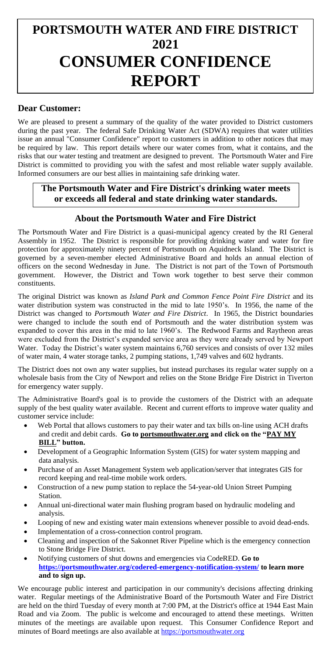# **PORTSMOUTH WATER AND FIRE DISTRICT 2021 CONSUMER CONFIDENCE REPORT**

### **Dear Customer:**

We are pleased to present a summary of the quality of the water provided to District customers during the past year. The federal Safe Drinking Water Act (SDWA) requires that water utilities issue an annual "Consumer Confidence" report to customers in addition to other notices that may be required by law. This report details where our water comes from, what it contains, and the risks that our water testing and treatment are designed to prevent. The Portsmouth Water and Fire District is committed to providing you with the safest and most reliable water supply available. Informed consumers are our best allies in maintaining safe drinking water.

### **The Portsmouth Water and Fire District's drinking water meets or exceeds all federal and state drinking water standards.**

## **About the Portsmouth Water and Fire District**

The Portsmouth Water and Fire District is a quasi-municipal agency created by the RI General Assembly in 1952. The District is responsible for providing drinking water and water for fire protection for approximately ninety percent of Portsmouth on Aquidneck Island. The District is governed by a seven-member elected Administrative Board and holds an annual election of officers on the second Wednesday in June. The District is not part of the Town of Portsmouth government.However, the District and Town work together to best serve their common constituents.

The original District was known as *Island Park and Common Fence Point Fire District* and its water distribution system was constructed in the mid to late 1950's. In 1956, the name of the District was changed to *Portsmouth Water and Fire District*. In 1965, the District boundaries were changed to include the south end of Portsmouth and the water distribution system was expanded to cover this area in the mid to late 1960's. The Redwood Farms and Raytheon areas were excluded from the District's expanded service area as they were already served by Newport Water. Today the District's water system maintains 6,760 services and consists of over 132 miles of water main, 4 water storage tanks, 2 pumping stations, 1,749 valves and 602 hydrants.

The District does not own any water supplies, but instead purchases its regular water supply on a wholesale basis from the City of Newport and relies on the Stone Bridge Fire District in Tiverton for emergency water supply.

The Administrative Board's goal is to provide the customers of the District with an adequate supply of the best quality water available. Recent and current efforts to improve water quality and customer service include:

- Web Portal that allows customers to pay their water and tax bills on-line using ACH drafts and credit and debit cards. **Go to portsmouthwater.org and click on the "PAY MY BILL" button.**
- Development of a Geographic Information System (GIS) for water system mapping and data analysis.
- Purchase of an Asset Management System web application/server that integrates GIS for record keeping and real-time mobile work orders.
- Construction of a new pump station to replace the 54-year-old Union Street Pumping Station.
- Annual uni-directional water main flushing program based on hydraulic modeling and analysis.
- Looping of new and existing water main extensions whenever possible to avoid dead-ends.
- Implementation of a cross-connection control program.
- Cleaning and inspection of the Sakonnet River Pipeline which is the emergency connection to Stone Bridge Fire District.
- Notifying customers of shut downs and emergencies via CodeRED. **Go to <https://portsmouthwater.org/codered-emergency-notification-system/> to learn more and to sign up.**

We encourage public interest and participation in our community's decisions affecting drinking water. Regular meetings of the Administrative Board of the Portsmouth Water and Fire District are held on the third Tuesday of every month at 7:00 PM, at the District's office at 1944 East Main Road and via Zoom. The public is welcome and encouraged to attend these meetings. Written minutes of the meetings are available upon request. This Consumer Confidence Report and minutes of Board meetings are also available at [https://portsmouthwater.org](https://portsmouthwater.org/)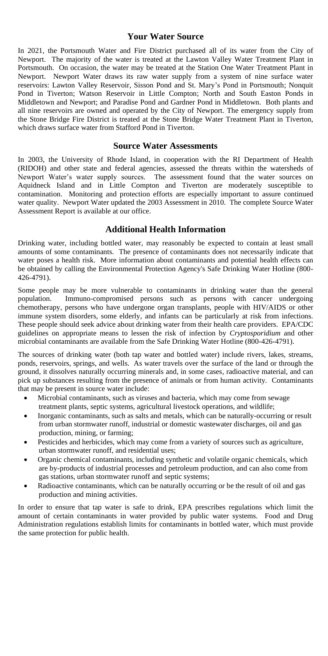#### **Your Water Source**

In 2021, the Portsmouth Water and Fire District purchased all of its water from the City of Newport. The majority of the water is treated at the Lawton Valley Water Treatment Plant in Portsmouth. On occasion, the water may be treated at the Station One Water Treatment Plant in Newport. Newport Water draws its raw water supply from a system of nine surface water reservoirs: Lawton Valley Reservoir, Sisson Pond and St. Mary's Pond in Portsmouth; Nonquit Pond in Tiverton; Watson Reservoir in Little Compton; North and South Easton Ponds in Middletown and Newport; and Paradise Pond and Gardner Pond in Middletown. Both plants and all nine reservoirs are owned and operated by the City of Newport. The emergency supply from the Stone Bridge Fire District is treated at the Stone Bridge Water Treatment Plant in Tiverton, which draws surface water from Stafford Pond in Tiverton.

#### **Source Water Assessments**

In 2003, the University of Rhode Island, in cooperation with the RI Department of Health (RIDOH) and other state and federal agencies, assessed the threats within the watersheds of Newport Water's water supply sources. The assessment found that the water sources on Aquidneck Island and in Little Compton and Tiverton are moderately susceptible to contamination. Monitoring and protection efforts are especially important to assure continued water quality. Newport Water updated the 2003 Assessment in 2010. The complete Source Water Assessment Report is available at our office.

#### **Additional Health Information**

Drinking water, including bottled water, may reasonably be expected to contain at least small amounts of some contaminants. The presence of contaminants does not necessarily indicate that water poses a health risk. More information about contaminants and potential health effects can be obtained by calling the Environmental Protection Agency's Safe Drinking Water Hotline (800- 426-4791).

Some people may be more vulnerable to contaminants in drinking water than the general population. Immuno-compromised persons such as persons with cancer undergoing chemotherapy, persons who have undergone organ transplants, people with HIV/AIDS or other immune system disorders, some elderly, and infants can be particularly at risk from infections. These people should seek advice about drinking water from their health care providers. EPA/CDC guidelines on appropriate means to lessen the risk of infection by *Cryptosporidium* and other microbial contaminants are available from the Safe Drinking Water Hotline (800-426-4791).

The sources of drinking water (both tap water and bottled water) include rivers, lakes, streams, ponds, reservoirs, springs, and wells. As water travels over the surface of the land or through the ground, it dissolves naturally occurring minerals and, in some cases, radioactive material, and can pick up substances resulting from the presence of animals or from human activity. Contaminants that may be present in source water include:

- Microbial contaminants, such as viruses and bacteria, which may come from sewage treatment plants, septic systems, agricultural livestock operations, and wildlife;
- Inorganic contaminants, such as salts and metals, which can be naturally-occurring or result from urban stormwater runoff, industrial or domestic wastewater discharges, oil and gas production, mining, or farming;
- Pesticides and herbicides, which may come from a variety of sources such as agriculture, urban stormwater runoff, and residential uses;
- Organic chemical contaminants, including synthetic and volatile organic chemicals, which are by-products of industrial processes and petroleum production, and can also come from gas stations, urban stormwater runoff and septic systems;
- Radioactive contaminants, which can be naturally occurring or be the result of oil and gas production and mining activities.

In order to ensure that tap water is safe to drink, EPA prescribes regulations which limit the amount of certain contaminants in water provided by public water systems. Food and Drug Administration regulations establish limits for contaminants in bottled water, which must provide the same protection for public health.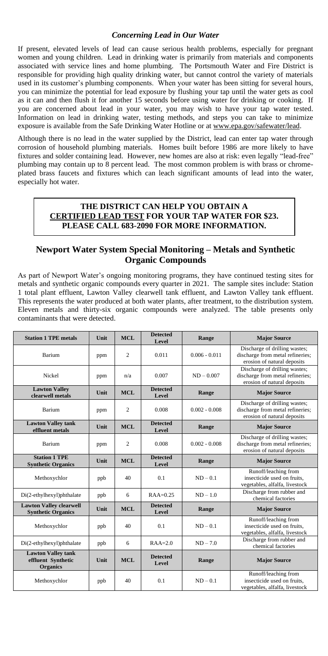#### *Concerning Lead in Our Water*

If present, elevated levels of lead can cause serious health problems, especially for pregnant women and young children. Lead in drinking water is primarily from materials and components associated with service lines and home plumbing. The Portsmouth Water and Fire District is responsible for providing high quality drinking water, but cannot control the variety of materials used in its customer's plumbing components. When your water has been sitting for several hours, you can minimize the potential for lead exposure by flushing your tap until the water gets as cool as it can and then flush it for another 15 seconds before using water for drinking or cooking. If you are concerned about lead in your water, you may wish to have your tap water tested. Information on lead in drinking water, testing methods, and steps you can take to minimize exposure is available from the Safe Drinking Water Hotline or a[t www.epa.gov/safewater/lead.](http://www.epa.gov/safewater/lead)

Although there is no lead in the water supplied by the District, lead can enter tap water through corrosion of household plumbing materials. Homes built before 1986 are more likely to have fixtures and solder containing lead. However, new homes are also at risk: even legally "lead-free" plumbing may contain up to 8 percent lead. The most common problem is with brass or chromeplated brass faucets and fixtures which can leach significant amounts of lead into the water, especially hot water.

#### **THE DISTRICT CAN HELP YOU OBTAIN A CERTIFIED LEAD TEST FOR YOUR TAP WATER FOR \$23. PLEASE CALL 683-2090 FOR MORE INFORMATION.**

#### **Newport Water System Special Monitoring – Metals and Synthetic Organic Compounds**

As part of Newport Water's ongoing monitoring programs, they have continued testing sites for metals and synthetic organic compounds every quarter in 2021. The sample sites include: Station 1 total plant effluent, Lawton Valley clearwell tank effluent, and Lawton Valley tank effluent. This represents the water produced at both water plants, after treatment, to the distribution system. Eleven metals and thirty-six organic compounds were analyzed. The table presents only contaminants that were detected.

| <b>Station 1 TPE metals</b>                                        | Unit | <b>MCL</b>     | <b>Detected</b><br>Level | Range           | <b>Major Source</b>                                                                              |
|--------------------------------------------------------------------|------|----------------|--------------------------|-----------------|--------------------------------------------------------------------------------------------------|
| Barium                                                             | ppm  | 2              | 0.011                    | $0.006 - 0.011$ | Discharge of drilling wastes;<br>discharge from metal refineries;<br>erosion of natural deposits |
| Nickel                                                             | ppm  | n/a            | 0.007                    | $ND - 0.007$    | Discharge of drilling wastes;<br>discharge from metal refineries;<br>erosion of natural deposits |
| <b>Lawton Valley</b><br>clearwell metals                           | Unit | <b>MCL</b>     | <b>Detected</b><br>Level | Range           | <b>Major Source</b>                                                                              |
| Barium                                                             | ppm  | $\overline{c}$ | 0.008                    | $0.002 - 0.008$ | Discharge of drilling wastes;<br>discharge from metal refineries;<br>erosion of natural deposits |
| <b>Lawton Valley tank</b><br>effluent metals                       | Unit | MCL            | <b>Detected</b><br>Level | Range           | <b>Major Source</b>                                                                              |
| Barium                                                             | ppm  | 2              | 0.008                    | $0.002 - 0.008$ | Discharge of drilling wastes;<br>discharge from metal refineries;<br>erosion of natural deposits |
| <b>Station 1 TPE</b><br><b>Synthetic Organics</b>                  | Unit | MCL            | <b>Detected</b><br>Level | Range           | <b>Major Source</b>                                                                              |
| Methoxychlor                                                       | ppb  | 40             | 0.1                      | $ND - 0.1$      | Runoff/leaching from<br>insecticide used on fruits.<br>vegetables, alfalfa, livestock            |
| Di(2-ethylhexyl)phthalate                                          | ppb  | 6              | $RAA=0.25$               | $ND - 1.0$      | Discharge from rubber and<br>chemical factories                                                  |
| <b>Lawton Valley clearwell</b><br><b>Synthetic Organics</b>        | Unit | <b>MCL</b>     | <b>Detected</b><br>Level | Range           | <b>Major Source</b>                                                                              |
| Methoxychlor                                                       | ppb  | 40             | 0.1                      | $ND - 0.1$      | Runoff/leaching from<br>insecticide used on fruits,<br>vegetables, alfalfa, livestock            |
| Di(2-ethylhexyl)phthalate                                          | ppb  | 6              | $RAA=2.0$                | $ND - 7.0$      | Discharge from rubber and<br>chemical factories                                                  |
| <b>Lawton Valley tank</b><br>effluent Synthetic<br><b>Organics</b> | Unit | MCL            | <b>Detected</b><br>Level | Range           | <b>Major Source</b>                                                                              |
| Methoxychlor                                                       | ppb  | 40             | 0.1                      | $ND - 0.1$      | Runoff/leaching from<br>insecticide used on fruits.<br>vegetables, alfalfa, livestock            |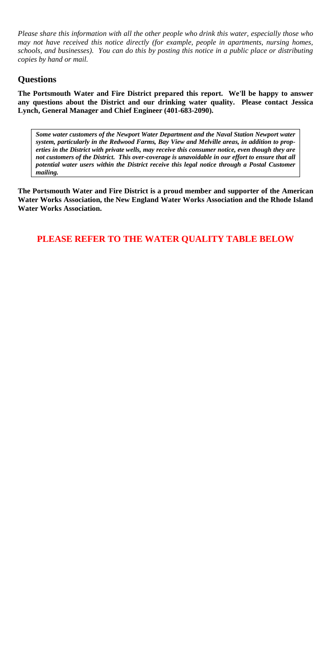*Please share this information with all the other people who drink this water, especially those who may not have received this notice directly (for example, people in apartments, nursing homes, schools, and businesses). You can do this by posting this notice in a public place or distributing copies by hand or mail.*

## **Questions**

**The Portsmouth Water and Fire District prepared this report. We'll be happy to answer any questions about the District and our drinking water quality. Please contact Jessica Lynch, General Manager and Chief Engineer (401-683-2090).** 

*Some water customers of the Newport Water Department and the Naval Station Newport water system, particularly in the Redwood Farms, Bay View and Melville areas, in addition to properties in the District with private wells, may receive this consumer notice, even though they are not customers of the District. This over-coverage is unavoidable in our effort to ensure that all potential water users within the District receive this legal notice through a Postal Customer mailing.* 

**The Portsmouth Water and Fire District is a proud member and supporter of the American Water Works Association, the New England Water Works Association and the Rhode Island Water Works Association.**

**PLEASE REFER TO THE WATER QUALITY TABLE BELOW**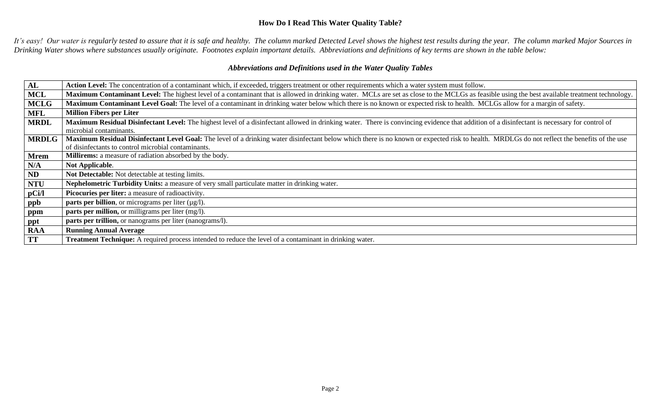## **How Do I Read This Water Quality Table?**

*It's easy! Our water is regularly tested to assure that it is safe and healthy. The column marked Detected Level shows the highest test results during the year. The column marked Major Sources in Drinking Water shows where substances usually originate. Footnotes explain important details. Abbreviations and definitions of key terms are shown in the table below:*

## *Abbreviations and Definitions used in the Water Quality Tables*

| AL           | Action Level: The concentration of a contaminant which, if exceeded, triggers treatment or other requirements which a water system must follow.                                                |
|--------------|------------------------------------------------------------------------------------------------------------------------------------------------------------------------------------------------|
| <b>MCL</b>   | Maximum Contaminant Level: The highest level of a contaminant that is allowed in drinking water. MCLs are set as close to the MCLGs as feasible using the best available treatment technology. |
| <b>MCLG</b>  | Maximum Contaminant Level Goal: The level of a contaminant in drinking water below which there is no known or expected risk to health. MCLGs allow for a margin of safety.                     |
| <b>MFL</b>   | <b>Million Fibers per Liter</b>                                                                                                                                                                |
| <b>MRDL</b>  | Maximum Residual Disinfectant Level: The highest level of a disinfectant allowed in drinking water. There is convincing evidence that addition of a disinfectant is necessary for control of   |
|              | microbial contaminants.                                                                                                                                                                        |
| <b>MRDLG</b> | Maximum Residual Disinfectant Level Goal: The level of a drinking water disinfectant below which there is no known or expected risk to health. MRDLGs do not reflect the benefits of the use   |
|              | of disinfectants to control microbial contaminants.                                                                                                                                            |
| <b>Mrem</b>  | <b>Millirems:</b> a measure of radiation absorbed by the body.                                                                                                                                 |
| N/A          | Not Applicable.                                                                                                                                                                                |
| <b>ND</b>    | Not Detectable: Not detectable at testing limits.                                                                                                                                              |
| <b>NTU</b>   | Nephelometric Turbidity Units: a measure of very small particulate matter in drinking water.                                                                                                   |
| pCi/l        | Picocuries per liter: a measure of radioactivity.                                                                                                                                              |
| <u>ppb</u>   | <b>parts per billion</b> , or micrograms per liter $(\mu g/l)$ .                                                                                                                               |
| ppm          | parts per million, or milligrams per liter (mg/l).                                                                                                                                             |
| ppt          | <b>parts per trillion,</b> or nanograms per liter (nanograms/l).                                                                                                                               |
| <b>RAA</b>   | <b>Running Annual Average</b>                                                                                                                                                                  |
| <b>TT</b>    | <b>Treatment Technique:</b> A required process intended to reduce the level of a contaminant in drinking water.                                                                                |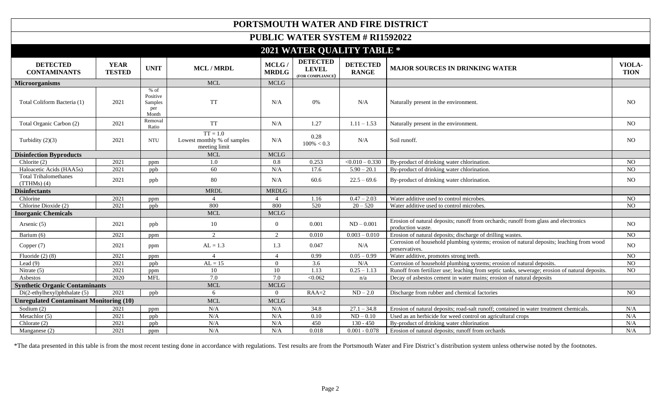## **PORTSMOUTH WATER AND FIRE DISTRICT**

## **PUBLIC WATER SYSTEM # RI1592022**

| 2021 WATER QUALITY TABLE *                     |                                                       |                  |                                                            |                          |                                                     |                                 |                                                                                                            |                       |  |  |  |  |  |
|------------------------------------------------|-------------------------------------------------------|------------------|------------------------------------------------------------|--------------------------|-----------------------------------------------------|---------------------------------|------------------------------------------------------------------------------------------------------------|-----------------------|--|--|--|--|--|
| <b>DETECTED</b><br><b>CONTAMINANTS</b>         | <b>YEAR</b><br><b>UNIT</b><br><b>TESTED</b>           |                  | <b>MCL/MRDL</b>                                            | MCLG/<br><b>MRDLG</b>    | <b>DETECTED</b><br><b>LEVEL</b><br>(FOR COMPLIANCE) | <b>DETECTED</b><br><b>RANGE</b> | <b>MAJOR SOURCES IN DRINKING WATER</b>                                                                     | VIOLA-<br><b>TION</b> |  |  |  |  |  |
| Microorganisms                                 |                                                       |                  | <b>MCL</b>                                                 | <b>MCLG</b>              |                                                     |                                 |                                                                                                            |                       |  |  |  |  |  |
| Total Coliform Bacteria (1)                    | $%$ of<br>Positive<br>2021<br>Samples<br>per<br>Month |                  | <b>TT</b>                                                  | N/A                      | 0%                                                  | N/A                             | Naturally present in the environment.                                                                      | N <sub>O</sub>        |  |  |  |  |  |
| Total Organic Carbon (2)                       | 2021                                                  | Removal<br>Ratio | <b>TT</b>                                                  | N/A                      | 1.27                                                | $1.11 - 1.53$                   | Naturally present in the environment.                                                                      | NO.                   |  |  |  |  |  |
| Turbidity $(2)(3)$                             | 2021                                                  | <b>NTU</b>       | $TT = 1.0$<br>Lowest monthly % of samples<br>meeting limit | N/A                      | 0.28<br>$100\% < 0.3$                               | N/A                             | Soil runoff.                                                                                               | NO.                   |  |  |  |  |  |
| <b>Disinfection Byproducts</b>                 |                                                       |                  | <b>MCL</b>                                                 | <b>MCLG</b>              |                                                     |                                 |                                                                                                            |                       |  |  |  |  |  |
| Chlorite (2)                                   | 2021                                                  | ppm              | $1.0\,$                                                    | 0.8                      | 0.253                                               | $< 0.010 - 0.330$               | By-product of drinking water chlorination.                                                                 | NO                    |  |  |  |  |  |
| Haloacetic Acids (HAA5s)                       | 2021                                                  | ppb              | 60                                                         | N/A                      | 17.6                                                | $5.90 - 20.1$                   | By-product of drinking water chlorination.                                                                 | NO <sub>1</sub>       |  |  |  |  |  |
| <b>Total Trihalomethanes</b><br>$(TTHMs)$ (4)  | 2021                                                  | ppb              | 80                                                         | N/A                      | 60.6                                                | $22.5 - 69.6$                   | By-product of drinking water chlorination.                                                                 | <b>NO</b>             |  |  |  |  |  |
| <b>Disinfectants</b>                           |                                                       |                  | <b>MRDL</b>                                                | <b>MRDLG</b>             |                                                     |                                 |                                                                                                            |                       |  |  |  |  |  |
| Chlorine                                       | 2021                                                  | ppm              |                                                            | $\overline{\mathcal{A}}$ | 1.16                                                | $0.47 - 2.03$                   | Water additive used to control microbes.                                                                   | N <sub>O</sub>        |  |  |  |  |  |
| Chlorine Dioxide (2)                           | 2021                                                  | ppb              | 800                                                        | 800                      | 520                                                 | $20 - 520$                      | Water additive used to control microbes.                                                                   | $\overline{NO}$       |  |  |  |  |  |
| <b>Inorganic Chemicals</b>                     |                                                       |                  | <b>MCL</b>                                                 | <b>MCLG</b>              |                                                     |                                 |                                                                                                            |                       |  |  |  |  |  |
| Arsenic (5)                                    | 2021                                                  | ppb              | 10                                                         | $\overline{0}$           | 0.001                                               | $ND - 0.001$                    | Erosion of natural deposits; runoff from orchards; runoff from glass and electronics<br>production waste.  | NO.                   |  |  |  |  |  |
| Barium (6)                                     | 2021                                                  | ppm              | $\mathcal{D}_{\alpha}$                                     | 2                        | 0.010                                               | $0.003 - 0.010$                 | Erosion of natural deposits; discharge of drilling wastes.                                                 | NO                    |  |  |  |  |  |
| Copper (7)                                     | 2021                                                  | ppm              | $AL = 1.3$                                                 | 1.3                      | 0.047                                               | N/A                             | Corrosion of household plumbing systems; erosion of natural deposits; leaching from wood<br>preservatives. | NO                    |  |  |  |  |  |
| Fluoride $(2)$ $(8)$                           | 2021                                                  | ppm              |                                                            | $\overline{4}$           | 0.99                                                | $0.05 - 0.99$                   | Water additive, promotes strong teeth.                                                                     | NO                    |  |  |  |  |  |
| Lead $(9)$                                     | 2021                                                  | ppb              | $AL = 15$                                                  | $\overline{0}$           | 3.6                                                 | N/A                             | Corrosion of household plumbing systems; erosion of natural deposits.                                      | N <sub>0</sub>        |  |  |  |  |  |
| Nitrate $(5)$                                  | 2021                                                  | ppm              | 10                                                         | 10                       | 1.13                                                | $0.25 - 1.13$                   | Runoff from fertilizer use; leaching from septic tanks, sewerage; erosion of natural deposits.             | NO                    |  |  |  |  |  |
| Asbestos                                       | 2020                                                  | <b>MFL</b>       | 7.0                                                        | 7.0                      | $\sqrt{0.062}$                                      | n/a                             | Decay of asbestos cement in water mains; erosion of natural deposits                                       |                       |  |  |  |  |  |
| <b>Synthetic Organic Contaminants</b>          |                                                       |                  | <b>MCL</b>                                                 | <b>MCLG</b>              |                                                     |                                 |                                                                                                            |                       |  |  |  |  |  |
| Di(2-ethylhexyl)phthalate (5)<br>2021<br>ppb   |                                                       |                  | 6                                                          | $\theta$                 | $RAA=2$                                             | $ND - 2.0$                      | Discharge from rubber and chemical factories                                                               | N <sub>O</sub>        |  |  |  |  |  |
| <b>Unregulated Contaminant Monitoring (10)</b> |                                                       | <b>MCL</b>       | <b>MCLG</b>                                                |                          |                                                     |                                 |                                                                                                            |                       |  |  |  |  |  |
| Sodium $(2)$                                   | 2021                                                  | ppm              | N/A                                                        | N/A                      | 34.8                                                | $\overline{27.1} - 34.8$        | Erosion of natural deposits; road-salt runoff; contained in water treatment chemicals.                     | N/A                   |  |  |  |  |  |
| Metachlor (5)                                  | 2021                                                  | ppb              | N/A                                                        | N/A                      | 0.10                                                | $ND - 0.10$                     | Used as an herbicide for weed control on agricultural crops                                                | N/A                   |  |  |  |  |  |
| Chlorate (2)                                   | 2021                                                  | ppb              | N/A                                                        | N/A                      | 450                                                 | $130 - 450$                     | By-product of drinking water chlorination                                                                  | N/A                   |  |  |  |  |  |
| Manganese (2)                                  | 2021                                                  | ppm              | N/A                                                        | N/A                      | 0.018                                               | $0.001 - 0.078$                 | Erosion of natural deposits; runoff from orchards                                                          | N/A                   |  |  |  |  |  |

\*The data presented in this table is from the most recent testing done in accordance with regulations. Test results are from the Portsmouth Water and Fire District's distribution system unless otherwise noted by the footno